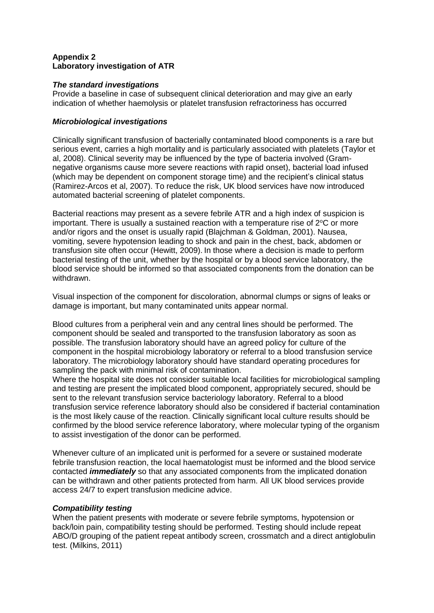# **Appendix 2 Laboratory investigation of ATR**

### *The standard investigations*

Provide a baseline in case of subsequent clinical deterioration and may give an early indication of whether haemolysis or platelet transfusion refractoriness has occurred

### *Microbiological investigations*

Clinically significant transfusion of bacterially contaminated blood components is a rare but serious event, carries a high mortality and is particularly associated with platelets (Taylor et al, 2008). Clinical severity may be influenced by the type of bacteria involved (Gramnegative organisms cause more severe reactions with rapid onset), bacterial load infused (which may be dependent on component storage time) and the recipient's clinical status (Ramirez-Arcos et al, 2007). To reduce the risk, UK blood services have now introduced automated bacterial screening of platelet components.

Bacterial reactions may present as a severe febrile ATR and a high index of suspicion is important. There is usually a sustained reaction with a temperature rise of  $2^{\circ}C$  or more and/or rigors and the onset is usually rapid (Blajchman & Goldman, 2001). Nausea, vomiting, severe hypotension leading to shock and pain in the chest, back, abdomen or transfusion site often occur (Hewitt, 2009). In those where a decision is made to perform bacterial testing of the unit, whether by the hospital or by a blood service laboratory, the blood service should be informed so that associated components from the donation can be withdrawn.

Visual inspection of the component for discoloration, abnormal clumps or signs of leaks or damage is important, but many contaminated units appear normal.

Blood cultures from a peripheral vein and any central lines should be performed. The component should be sealed and transported to the transfusion laboratory as soon as possible. The transfusion laboratory should have an agreed policy for culture of the component in the hospital microbiology laboratory or referral to a blood transfusion service laboratory. The microbiology laboratory should have standard operating procedures for sampling the pack with minimal risk of contamination.

Where the hospital site does not consider suitable local facilities for microbiological sampling and testing are present the implicated blood component, appropriately secured, should be sent to the relevant transfusion service bacteriology laboratory. Referral to a blood transfusion service reference laboratory should also be considered if bacterial contamination is the most likely cause of the reaction. Clinically significant local culture results should be confirmed by the blood service reference laboratory, where molecular typing of the organism to assist investigation of the donor can be performed.

Whenever culture of an implicated unit is performed for a severe or sustained moderate febrile transfusion reaction, the local haematologist must be informed and the blood service contacted *immediately* so that any associated components from the implicated donation can be withdrawn and other patients protected from harm. All UK blood services provide access 24/7 to expert transfusion medicine advice.

#### *Compatibility testing*

When the patient presents with moderate or severe febrile symptoms, hypotension or back/loin pain, compatibility testing should be performed. Testing should include repeat ABO/D grouping of the patient repeat antibody screen, crossmatch and a direct antiglobulin test. (Milkins, 2011)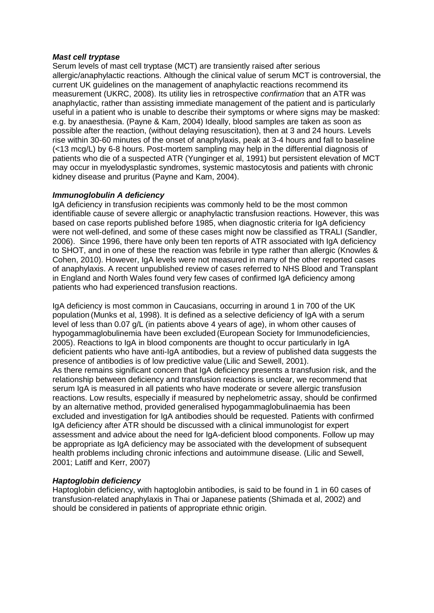#### *Mast cell tryptase*

Serum levels of mast cell tryptase (MCT) are transiently raised after serious allergic/anaphylactic reactions. Although the clinical value of serum MCT is controversial, the current UK guidelines on the management of anaphylactic reactions recommend its measurement (UKRC, 2008). Its utility lies in retrospective *confirmation* that an ATR was anaphylactic, rather than assisting immediate management of the patient and is particularly useful in a patient who is unable to describe their symptoms or where signs may be masked: e.g. by anaesthesia. (Payne & Kam, 2004) Ideally, blood samples are taken as soon as possible after the reaction, (without delaying resuscitation), then at 3 and 24 hours. Levels rise within 30-60 minutes of the onset of anaphylaxis, peak at 3-4 hours and fall to baseline (<13 mcg/L) by 6-8 hours. Post-mortem sampling may help in the differential diagnosis of patients who die of a suspected ATR (Yunginger et al, 1991) but persistent elevation of MCT may occur in myelodysplastic syndromes, systemic mastocytosis and patients with chronic kidney disease and pruritus (Payne and Kam, 2004).

### *Immunoglobulin A deficiency*

IgA deficiency in transfusion recipients was commonly held to be the most common identifiable cause of severe allergic or anaphylactic transfusion reactions. However, this was based on case reports published before 1985, when diagnostic criteria for IgA deficiency were not well-defined, and some of these cases might now be classified as TRALI (Sandler, 2006). Since 1996, there have only been ten reports of ATR associated with IgA deficiency to SHOT, and in one of these the reaction was febrile in type rather than allergic (Knowles & Cohen, 2010). However, IgA levels were not measured in many of the other reported cases of anaphylaxis. A recent unpublished review of cases referred to NHS Blood and Transplant in England and North Wales found very few cases of confirmed IgA deficiency among patients who had experienced transfusion reactions.

IgA deficiency is most common in Caucasians, occurring in around 1 in 700 of the UK population (Munks et al, 1998). It is defined as a selective deficiency of IgA with a serum level of less than 0.07 g/L (in patients above 4 years of age), in whom other causes of hypogammaglobulinemia have been excluded (European Society for Immunodeficiencies, 2005). Reactions to IgA in blood components are thought to occur particularly in IgA deficient patients who have anti-IgA antibodies, but a review of published data suggests the presence of antibodies is of low predictive value (Lilic and Sewell, 2001). As there remains significant concern that IgA deficiency presents a transfusion risk, and the relationship between deficiency and transfusion reactions is unclear, we recommend that serum IgA is measured in all patients who have moderate or severe allergic transfusion reactions. Low results, especially if measured by nephelometric assay, should be confirmed by an alternative method, provided generalised hypogammaglobulinaemia has been excluded and investigation for IgA antibodies should be requested. Patients with confirmed IgA deficiency after ATR should be discussed with a clinical immunologist for expert assessment and advice about the need for IgA-deficient blood components. Follow up may be appropriate as IgA deficiency may be associated with the development of subsequent health problems including chronic infections and autoimmune disease. (Lilic and Sewell, 2001; Latiff and Kerr, 2007)

# *Haptoglobin deficiency*

Haptoglobin deficiency, with haptoglobin antibodies, is said to be found in 1 in 60 cases of transfusion-related anaphylaxis in Thai or Japanese patients (Shimada et al, 2002) and should be considered in patients of appropriate ethnic origin.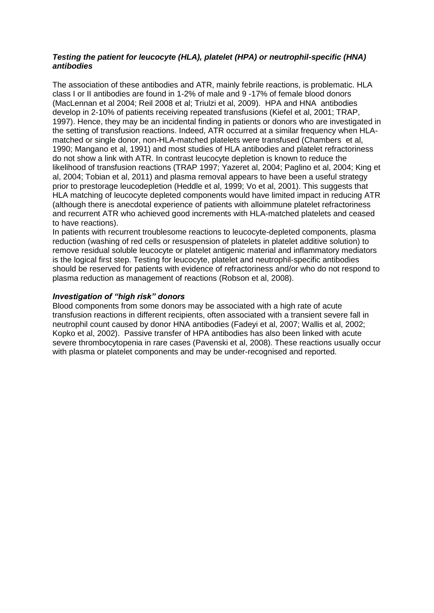### *Testing the patient for leucocyte (HLA), platelet (HPA) or neutrophil-specific (HNA) antibodies*

The association of these antibodies and ATR, mainly febrile reactions, is problematic. HLA class I or II antibodies are found in 1-2% of male and 9 -17% of female blood donors (MacLennan et al 2004; Reil 2008 et al; Triulzi et al, 2009). HPA and HNA antibodies develop in 2-10% of patients receiving repeated transfusions (Kiefel et al, 2001; TRAP, 1997). Hence, they may be an incidental finding in patients or donors who are investigated in the setting of transfusion reactions. Indeed, ATR occurred at a similar frequency when HLAmatched or single donor, non-HLA-matched platelets were transfused (Chambers et al, 1990; Mangano et al, 1991) and most studies of HLA antibodies and platelet refractoriness do not show a link with ATR. In contrast leucocyte depletion is known to reduce the likelihood of transfusion reactions (TRAP 1997; Yazeret al, 2004; Paglino et al, 2004; King et al, 2004; Tobian et al, 2011) and plasma removal appears to have been a useful strategy prior to prestorage leucodepletion (Heddle et al, 1999; Vo et al, 2001). This suggests that HLA matching of leucocyte depleted components would have limited impact in reducing ATR (although there is anecdotal experience of patients with alloimmune platelet refractoriness and recurrent ATR who achieved good increments with HLA-matched platelets and ceased to have reactions).

In patients with recurrent troublesome reactions to leucocyte-depleted components, plasma reduction (washing of red cells or resuspension of platelets in platelet additive solution) to remove residual soluble leucocyte or platelet antigenic material and inflammatory mediators is the logical first step. Testing for leucocyte, platelet and neutrophil-specific antibodies should be reserved for patients with evidence of refractoriness and/or who do not respond to plasma reduction as management of reactions (Robson et al, 2008).

# *Investigation of "high risk" donors*

Blood components from some donors may be associated with a high rate of acute transfusion reactions in different recipients, often associated with a transient severe fall in neutrophil count caused by donor HNA antibodies (Fadeyi et al, 2007; Wallis et al, 2002; Kopko et al, 2002). Passive transfer of HPA antibodies has also been linked with acute severe thrombocytopenia in rare cases (Pavenski et al, 2008). These reactions usually occur with plasma or platelet components and may be under-recognised and reported.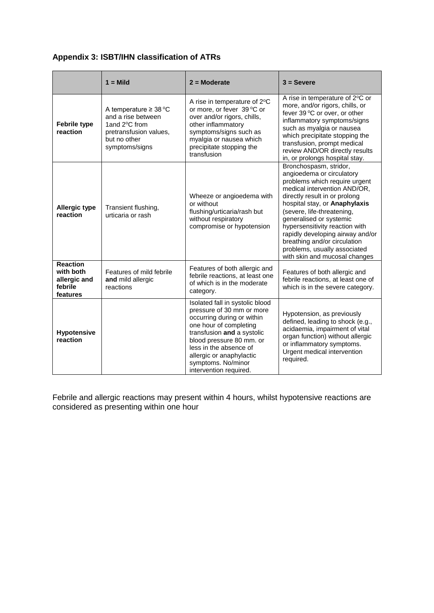# **Appendix 3: ISBT/IHN classification of ATRs**

|                                                                     | $1 =$ Mild                                                                                                                    | $2 =$ Moderate                                                                                                                                                                                                                                                                       | $3 =$ Severe                                                                                                                                                                                                                                                                                                                                                                                                           |
|---------------------------------------------------------------------|-------------------------------------------------------------------------------------------------------------------------------|--------------------------------------------------------------------------------------------------------------------------------------------------------------------------------------------------------------------------------------------------------------------------------------|------------------------------------------------------------------------------------------------------------------------------------------------------------------------------------------------------------------------------------------------------------------------------------------------------------------------------------------------------------------------------------------------------------------------|
| <b>Febrile type</b><br>reaction                                     | A temperature $\geq 38$ °C<br>and a rise between<br>1and 2°C from<br>pretransfusion values,<br>but no other<br>symptoms/signs | A rise in temperature of 2°C<br>or more, or fever 39 °C or<br>over and/or rigors, chills,<br>other inflammatory<br>symptoms/signs such as<br>myalgia or nausea which<br>precipitate stopping the<br>transfusion                                                                      | A rise in temperature of 2°C or<br>more, and/or rigors, chills, or<br>fever 39 °C or over, or other<br>inflammatory symptoms/signs<br>such as myalgia or nausea<br>which precipitate stopping the<br>transfusion, prompt medical<br>review AND/OR directly results<br>in, or prolongs hospital stay.                                                                                                                   |
| <b>Allergic type</b><br>reaction                                    | Transient flushing,<br>urticaria or rash                                                                                      | Wheeze or angioedema with<br>or without<br>flushing/urticaria/rash but<br>without respiratory<br>compromise or hypotension                                                                                                                                                           | Bronchospasm, stridor,<br>angioedema or circulatory<br>problems which require urgent<br>medical intervention AND/OR,<br>directly result in or prolong<br>hospital stay, or Anaphylaxis<br>(severe, life-threatening,<br>generalised or systemic<br>hypersensitivity reaction with<br>rapidly developing airway and/or<br>breathing and/or circulation<br>problems, usually associated<br>with skin and mucosal changes |
| <b>Reaction</b><br>with both<br>allergic and<br>febrile<br>features | Features of mild febrile<br>and mild allergic<br>reactions                                                                    | Features of both allergic and<br>febrile reactions, at least one<br>of which is in the moderate<br>category.                                                                                                                                                                         | Features of both allergic and<br>febrile reactions, at least one of<br>which is in the severe category.                                                                                                                                                                                                                                                                                                                |
| <b>Hypotensive</b><br>reaction                                      |                                                                                                                               | Isolated fall in systolic blood<br>pressure of 30 mm or more<br>occurring during or within<br>one hour of completing<br>transfusion and a systolic<br>blood pressure 80 mm. or<br>less in the absence of<br>allergic or anaphylactic<br>symptoms. No/minor<br>intervention required. | Hypotension, as previously<br>defined, leading to shock (e.g.,<br>acidaemia, impairment of vital<br>organ function) without allergic<br>or inflammatory symptoms.<br>Urgent medical intervention<br>required.                                                                                                                                                                                                          |

Febrile and allergic reactions may present within 4 hours, whilst hypotensive reactions are considered as presenting within one hour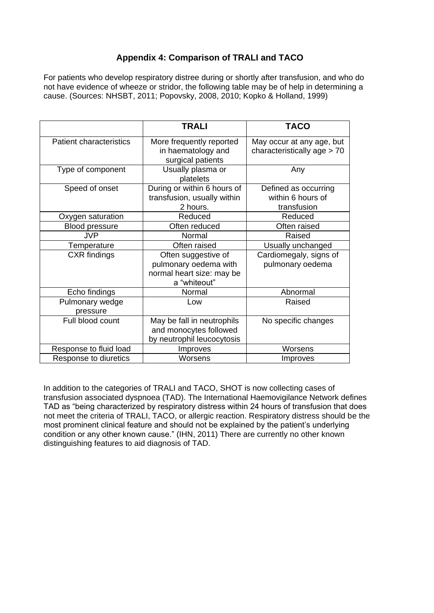# **Appendix 4: Comparison of TRALI and TACO**

For patients who develop respiratory distree during or shortly after transfusion, and who do not have evidence of wheeze or stridor, the following table may be of help in determining a cause. (Sources: NHSBT, 2011; Popovsky, 2008, 2010; Kopko & Holland, 1999)

|                                | <b>TRALI</b>                                                                              | <b>TACO</b>                                              |
|--------------------------------|-------------------------------------------------------------------------------------------|----------------------------------------------------------|
| <b>Patient characteristics</b> | More frequently reported<br>in haematology and<br>surgical patients                       | May occur at any age, but<br>characteristically age > 70 |
| Type of component              | Usually plasma or<br>platelets                                                            | Any                                                      |
| Speed of onset                 | During or within 6 hours of<br>transfusion, usually within<br>2 hours.                    | Defined as occurring<br>within 6 hours of<br>transfusion |
| Oxygen saturation              | Reduced                                                                                   | Reduced                                                  |
| <b>Blood pressure</b>          | Often reduced                                                                             | Often raised                                             |
| <b>JVP</b>                     | Normal                                                                                    | Raised                                                   |
| Temperature                    | Often raised                                                                              | Usually unchanged                                        |
| <b>CXR</b> findings            | Often suggestive of<br>pulmonary oedema with<br>normal heart size: may be<br>a "whiteout" | Cardiomegaly, signs of<br>pulmonary oedema               |
| Echo findings                  | Normal                                                                                    | Abnormal                                                 |
| Pulmonary wedge<br>pressure    | Low                                                                                       | Raised                                                   |
| Full blood count               | May be fall in neutrophils<br>and monocytes followed<br>by neutrophil leucocytosis        | No specific changes                                      |
| Response to fluid load         | Improves                                                                                  | Worsens                                                  |
| Response to diuretics          | Worsens                                                                                   | Improves                                                 |

In addition to the categories of TRALI and TACO, SHOT is now collecting cases of transfusion associated dyspnoea (TAD). The International Haemovigilance Network defines TAD as "being characterized by respiratory distress within 24 hours of transfusion that does not meet the criteria of TRALI, TACO, or allergic reaction. Respiratory distress should be the most prominent clinical feature and should not be explained by the patient's underlying condition or any other known cause." (IHN, 2011) There are currently no other known distinguishing features to aid diagnosis of TAD.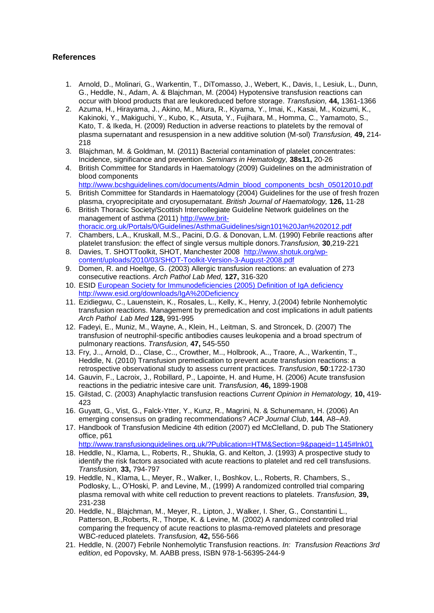# **References**

- 1. Arnold, D., Molinari, G., Warkentin, T., DiTomasso, J., Webert, K., Davis, I., Lesiuk, L., Dunn, G., Heddle, N., Adam, A. & Blajchman, M. (2004) Hypotensive transfusion reactions can occur with blood products that are leukoreduced before storage. *Transfusion,* **44,** 1361-1366
- 2. Azuma, H., Hirayama, J., Akino, M., Miura, R., Kiyama, Y., Imai, K., Kasai, M., Koizumi, K., Kakinoki, Y., Makiguchi, Y., Kubo, K., Atsuta, Y., Fujihara, M., Homma, C., Yamamoto, S., Kato, T. & Ikeda, H. (2009) Reduction in adverse reactions to platelets by the removal of plasma supernatant and resuspension in a new additive solution (M-sol) *Transfusion,* **49,** 214- 218
- 3. Blajchman, M. & Goldman, M. (2011) Bacterial contamination of platelet concentrates: Incidence, significance and prevention. *Seminars in Hematology,* **38s11,** 20-26
- 4. British Committee for Standards in Haematology (2009) Guidelines on the administration of blood components

[http://www.bcshguidelines.com/documents/Admin\\_blood\\_components\\_bcsh\\_05012010.pdf](http://www.bcshguidelines.com/documents/Admin_blood_components_bcsh_05012010.pdf)

- 5. British Committee for Standards in Haematology (2004) Guidelines for the use of fresh frozen plasma, cryoprecipitate and cryosupernatant. *British Journal of Haematology,* **126,** 11-28
- 6. British Thoracic Society/Scottish Intercollegiate Guideline Network guidelines on the management of asthma (2011) [http://www.brit](http://www.brit-thoracic.org.uk/Portals/0/Guidelines/AsthmaGuidelines/sign101%20Jan%202012.pdf)[thoracic.org.uk/Portals/0/Guidelines/AsthmaGuidelines/sign101%20Jan%202012.pdf](http://www.brit-thoracic.org.uk/Portals/0/Guidelines/AsthmaGuidelines/sign101%20Jan%202012.pdf)
- 7. Chambers, L.A., Kruskall, M.S., Pacini, D.G. & Donovan, L.M. (1990) Febrile reactions after platelet transfusion: the effect of single versus multiple donors.*Transfusion,* **30**,219-221
- 8. Davies, T. SHOTToolkit, SHOT, Manchester 2008 [http://www.shotuk.org/wp](http://www.shotuk.org/wp-content/uploads/2010/03/SHOT-Toolkit-Version-3-August-2008.pdf)[content/uploads/2010/03/SHOT-Toolkit-Version-3-August-2008.pdf](http://www.shotuk.org/wp-content/uploads/2010/03/SHOT-Toolkit-Version-3-August-2008.pdf)
- 9. Domen, R. and Hoeltge, G. (2003) Allergic transfusion reactions: an evaluation of 273 consecutive reactions. *Arch Pathol Lab Med,* **127,** 316-320
- 10. ESID European [Society for Immunodeficiencies \(2005\) Definition of IgA deficiency](file:///N:/Documents%20and%20Settings/tine0001/Local%20Settings/Temporary%20Internet%20Files/OLK3/European%20Society%20for%20Immunodeficiencies%20(2005)%20Definition%20of%20IgA%20deficiency%20http:/www.esid.org/downloads/IgA%20Deficiency)  [http://www.esid.org/downloads/IgA%20Deficiency](file:///N:/Documents%20and%20Settings/tine0001/Local%20Settings/Temporary%20Internet%20Files/OLK3/European%20Society%20for%20Immunodeficiencies%20(2005)%20Definition%20of%20IgA%20deficiency%20http:/www.esid.org/downloads/IgA%20Deficiency)
- 11. Ezidiegwu, C., Lauenstein, K., Rosales, L., Kelly, K., Henry, J.(2004) febrile Nonhemolytic transfusion reactions. Management by premedication and cost implications in adult patients *Arch Pathol Lab Med* **128,** 991-995
- 12. Fadeyi, E., Muniz, M., Wayne, A., Klein, H., Leitman, S. and Stroncek, D. (2007) The transfusion of neutrophil-specific antibodies causes leukopenia and a broad spectrum of pulmonary reactions. *Transfusion,* **47,** 545-550
- 13. Fry, J.., Arnold, D.., Clase, C.., Crowther, M.., Holbrook, A.., Traore, A.., Warkentin, T., Heddle, N. (2010) Transfusion premedication to prevent acute transfusion reactions: a retrospective observational study to assess current practices. *Transfusion*, **50**:1722-1730
- 14. Gauvin, F., Lacroix, J., Robillard, P., Lapointe, H. and Hume, H. (2006) Acute transfusion reactions in the pediatric intesive care unit. *Transfusion,* **46,** 1899-1908
- 15. Gilstad, C. (2003) Anaphylactic transfusion reactions *Current Opinion in Hematology,* **10,** 419- 423
- 16. Guyatt, G., Vist, G., Falck-Ytter, Y., Kunz, R., Magrini, N. & Schunemann, H. (2006) An emerging consensus on grading recommendations? *ACP Journal Club*, **144**, A8–A9.
- 17. Handbook of Transfusion Medicine 4th edition (2007) ed McClelland, D. pub The Stationery office, p61

<http://www.transfusionguidelines.org.uk/?Publication=HTM&Section=9&pageid=1145#lnk01>

- 18. Heddle, N., Klama, L., Roberts, R., Shukla, G. and Kelton, J. (1993) A prospective study to identify the risk factors associated with acute reactions to platelet and red cell transfusions. *Transfusion,* **33,** 794-797
- 19. Heddle, N., Klama, L., Meyer, R., Walker, I., Boshkov, L., Roberts, R. Chambers, S., Podlosky, L., O'Hoski, P. and Levine, M., (1999) A randomized controlled trial comparing plasma removal with white cell reduction to prevent reactions to platelets. *Transfusion,* **39,**  231-238
- 20. Heddle, N., Blajchman, M., Meyer, R., Lipton, J., Walker, I. Sher, G., Constantini L., Patterson, B.,Roberts, R., Thorpe, K. & Levine, M. (2002) A randomized controlled trial comparing the frequency of acute reactions to plasma-removed platelets and presorage WBC-reduced platelets. *Transfusion,* **42,** 556-566
- 21. Heddle, N. (2007) Febrile Nonhemolytic Transfusion reactions. *In: Transfusion Reactions 3rd edition*, ed Popovsky, M. AABB press, ISBN 978-1-56395-244-9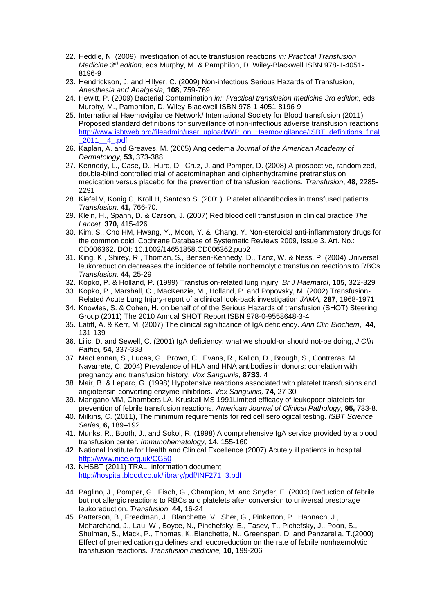- 22. Heddle, N. (2009) Investigation of acute transfusion reactions *in: Practical Transfusion Medicine 3rd edition,* eds Murphy, M. & Pamphilon, D. Wiley-Blackwell ISBN 978-1-4051- 8196-9
- 23. Hendrickson, J. and Hillyer, C. (2009) Non-infectious Serious Hazards of Transfusion, *Anesthesia and Analgesia,* **108,** 759-769
- 24. Hewitt, P. (2009) Bacterial Contamination *in:*: *Practical transfusion medicine 3rd edition,* eds Murphy, M., Pamphilon, D. Wiley-Blackwell ISBN 978-1-4051-8196-9
- 25. International Haemovigilance Network/ International Society for Blood transfusion (2011) Proposed standard definitions for surveillance of non-infectious adverse transfusion reactions [http://www.isbtweb.org/fileadmin/user\\_upload/WP\\_on\\_Haemovigilance/ISBT\\_definitions\\_final](http://www.isbtweb.org/fileadmin/user_upload/WP_on_Haemovigilance/ISBT_definitions_final_2011__4_.pdf) [\\_2011\\_\\_4\\_.pdf](http://www.isbtweb.org/fileadmin/user_upload/WP_on_Haemovigilance/ISBT_definitions_final_2011__4_.pdf)
- 26. Kaplan, A. and Greaves, M. (2005) Angioedema *Journal of the American Academy of Dermatology,* **53,** 373-388
- 27. Kennedy, L., Case, D., Hurd, D., Cruz, J. and Pomper, D. (2008) A prospective, randomized, double-blind controlled trial of acetominaphen and diphenhydramine pretransfusion medication versus placebo for the prevention of transfusion reactions. *Transfusion*, **48**, 2285- 2291
- 28. Kiefel V, Konig C, Kroll H, Santoso S. (2001) Platelet alloantibodies in transfused patients. *Transfusion,* **41,** 766-70.
- 29. Klein, H., Spahn, D. & Carson, J. (2007) Red blood cell transfusion in clinical practice *The Lancet,* **370,** 415-426
- 30. Kim, S., Cho HM, Hwang, Y., Moon, Y. & Chang, Y. Non-steroidal anti-inflammatory drugs for the common cold. Cochrane Database of Systematic Reviews 2009, Issue 3. Art. No.: CD006362. DOI: 10.1002/14651858.CD006362.pub2
- 31. King, K., Shirey, R., Thoman, S., Bensen-Kennedy, D., Tanz, W. & Ness, P. (2004) Universal leukoreduction decreases the incidence of febrile nonhemolytic transfusion reactions to RBCs *Transfusion,* **44,** 25-29
- 32. Kopko, P. & Holland, P. (1999) Transfusion-related lung injury. *Br J Haematol*, **105,** 322-329
- 33. Kopko, P., Marshall, C., MacKenzie, M., Holland, P. and Popovsky, M. (2002) Transfusion-Related Acute Lung Injury-report of a clinical look-back investigation *JAMA,* **287**, 1968-1971
- 34. Knowles, S. & Cohen, H. on behalf of of the Serious Hazards of transfusion (SHOT) Steering Group (2011) The 2010 Annual SHOT Report ISBN 978-0-9558648-3-4
- 35. Latiff, A. & Kerr, M. (2007) The clinical significance of IgA deficiency. *Ann Clin Biochem*, **44,**  131-139
- 36. Lilic, D. and Sewell, C. (2001) IgA deficiency: what we should-or should not-be doing, *J Clin Pathol,* **54,** 337-338
- 37. MacLennan, S., Lucas, G., Brown, C., Evans, R., Kallon, D., Brough, S., Contreras, M., Navarrete, C. 2004) Prevalence of HLA and HNA antibodies in donors: correlation with pregnancy and transfusion history. *Vox Sanguinis,* **87S3,** 4
- 38. Mair, B. & Leparc, G. (1998) Hypotensive reactions associated with platelet transfusions and angiotensin-converting enzyme inhibitors. *Vox Sanguinis,* **74,** 27-30
- 39. Mangano MM, Chambers LA, Kruskall MS 1991Limited efficacy of leukopoor platelets for prevention of febrile transfusion reactions. *American Journal of Clinical Pathology,* **95,** 733-8.
- 40. Milkins, C. (2011), The minimum requirements for red cell serological testing. *ISBT Science Series,* **6,** 189–192.
- 41. Munks, R., Booth, J., and Sokol, R. (1998) A comprehensive IgA service provided by a blood transfusion center. *Immunohematology,* **14,** 155-160
- 42. National Institute for Health and Clinical Excellence (2007) Acutely ill patients in hospital. <http://www.nice.org.uk/CG50>
- 43. NHSBT (2011) TRALI information document [http://hospital.blood.co.uk/library/pdf/INF271\\_3.pdf](http://hospital.blood.co.uk/library/pdf/INF271_3.pdf)
- 44. Paglino, J., Pomper, G., Fisch, G., Champion, M. and Snyder, E. (2004) Reduction of febrile but not allergic reactions to RBCs and platelets after conversion to universal prestorage leukoreduction. *Transfusion,* **44,** 16-24
- 45. Patterson, B., Freedman, J., Blanchette, V., Sher, G., Pinkerton, P., Hannach, J., Meharchand, J., Lau, W., Boyce, N., Pinchefsky, E., Tasev, T., Pichefsky, J., Poon, S., Shulman, S., Mack, P., Thomas, K.,Blanchette, N., Greenspan, D. and Panzarella, T.(2000) Effect of premedication guidelines and leucoreduction on the rate of febrile nonhaemolytic transfusion reactions. *Transfusion medicine,* **10,** 199-206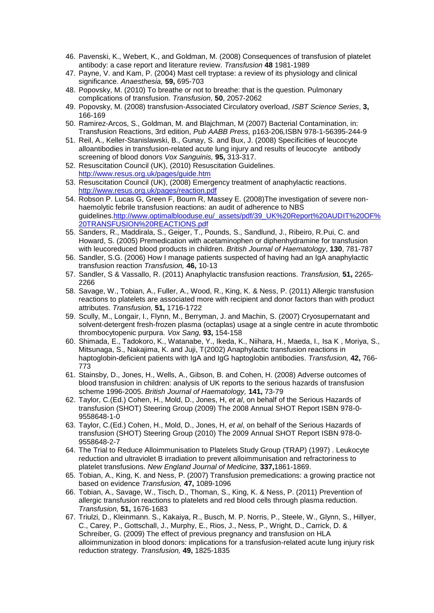- 46. Pavenski, K., Webert, K., and Goldman, M. (2008) Consequences of transfusion of platelet antibody: a case report and literature review. *Transfusion* **48** 1981-1989
- 47. Payne, V. and Kam, P. (2004) Mast cell tryptase: a review of its physiology and clinical significance. *Anaesthesia,* **59,** 695-703
- 48. Popovsky, M. (2010) To breathe or not to breathe: that is the question. Pulmonary complications of transfusion. *Transfusion,* **50**, 2057-2062
- 49. Popovsky, M. (2008) transfusion-Associated Circulatory overload, *ISBT Science Series*, **3,**  166-169
- 50. Ramirez-Arcos, S., Goldman, M. and Blajchman, M (2007) Bacterial Contamination, in: Transfusion Reactions, 3rd edition, *Pub AABB Press,* p163-206*,*ISBN 978-1-56395-244-9
- 51. Reil, A., Keller-Stanislawski, B., Gunay, S. and Bux, J. (2008) Specificities of leucocyte alloantibodies in transfusion-related acute lung injury and results of leucocyte antibody screening of blood donors *Vox Sanguinis,* **95,** 313-317.
- 52. Resuscitation Council (UK), (2010) Resuscitation Guidelines. <http://www.resus.org.uk/pages/guide.htm>
- 53. Resuscitation Council (UK), (2008) Emergency treatment of anaphylactic reactions. <http://www.resus.org.uk/pages/reaction.pdf>
- 54. Robson P. Lucas G, Green F, Bourn R, Massey E. (2008)The investigation of severe nonhaemolytic febrile transfusion reactions: an audit of adherence to NBS guidelines[.http://www.optimalblooduse.eu/\\_assets/pdf/39\\_UK%20Report%20AUDIT%20OF%](http://www.optimalblooduse.eu/_assets/pdf/39_UK%20Report%20AUDIT%20OF%20TRANSFUSION%20REACTIONS.pdf) [20TRANSFUSION%20REACTIONS.pdf](http://www.optimalblooduse.eu/_assets/pdf/39_UK%20Report%20AUDIT%20OF%20TRANSFUSION%20REACTIONS.pdf)
- 55. Sanders, R., Maddirala, S., Geiger, T., Pounds, S., Sandlund, J., Ribeiro, R.Pui, C. and Howard, S. (2005) Premedication with acetaminophen or diphenhydramine for transfusion with leucoreduced blood products in children. *British Journal of Haematology*, **130**, 781-787
- 56. Sandler, S.G. (2006) How I manage patients suspected of having had an IgA anaphylactic transfusion reaction *Transfusion,* **46,** 10-13
- 57. Sandler, S & Vassallo, R. (2011) Anaphylactic transfusion reactions. *Transfusion,* **51,** 2265- 2266
- 58. Savage, W., Tobian, A., Fuller, A., Wood, R., King, K. & Ness, P. (2011) Allergic transfusion reactions to platelets are associated more with recipient and donor factors than with product attributes. *Transfusion,* **51,** 1716-1722
- 59. Scully, M., Longair, I., Flynn, M., Berryman, J. and Machin, S. (2007) Cryosupernatant and solvent-detergent fresh-frozen plasma (octaplas) usage at a single centre in acute thrombotic thrombocytopenic purpura. *Vox Sang,* **93,** 154-158
- 60. Shimada, E., Tadokoro, K., Watanabe, Y., Ikeda, K., Niihara, H., Maeda, I.*,* Isa K , Moriya, S., Mitsunaga, S., Nakajima, K. and Juji, T(2002) Anaphylactic transfusion reactions in haptoglobin-deficient patients with IgA and IgG haptoglobin antibodies. *Transfusion,* **42,** 766- 773
- 61. Stainsby, D., Jones, H., Wells, A., Gibson, B. and Cohen, H. (2008) Adverse outcomes of blood transfusion in children: analysis of UK reports to the serious hazards of transfusion scheme 1996-2005. *British Journal of Haematology,* **141,** 73-79
- 62. Taylor, C.(Ed.) Cohen, H., Mold, D., Jones, H, *et al*, on behalf of the Serious Hazards of transfusion (SHOT) Steering Group (2009) The 2008 Annual SHOT Report ISBN 978-0- 9558648-1-0
- 63. Taylor, C.(Ed.) Cohen, H., Mold, D., Jones, H, *et al*, on behalf of the Serious Hazards of transfusion (SHOT) Steering Group (2010) The 2009 Annual SHOT Report ISBN 978-0- 9558648-2-7
- 64. The Trial to Reduce Alloimmunisation to Platelets Study Group (TRAP) (1997) . Leukocyte reduction and ultraviolet B irradiation to prevent alloimmunisation and refractoriness to platelet transfusions. *New England Journal of Medicine,* **337,**1861-1869.
- 65. Tobian, A., King, K. and Ness, P. (2007) Transfusion premedications: a growing practice not based on evidence *Transfusion,* **47,** 1089-1096
- 66. Tobian, A., Savage, W., Tisch, D., Thoman, S., King, K. & Ness, P. (2011) Prevention of allergic transfusion reactions to platelets and red blood cells through plasma reduction. *Transfusion,* **51,** 1676-1683
- 67. Triulzi, D., Kleinmann. S., Kakaiya, R., Busch, M. P. Norris, P., Steele, W., Glynn, S., Hillyer, C., Carey, P., Gottschall, J., Murphy, E., Rios, J., Ness, P., Wright, D., Carrick, D. & Schreiber, G. (2009) The effect of previous pregnancy and transfusion on HLA alloimmunization in blood donors: implications for a transfusion-related acute lung injury risk reduction strategy. *Transfusion,* **49,** 1825-1835